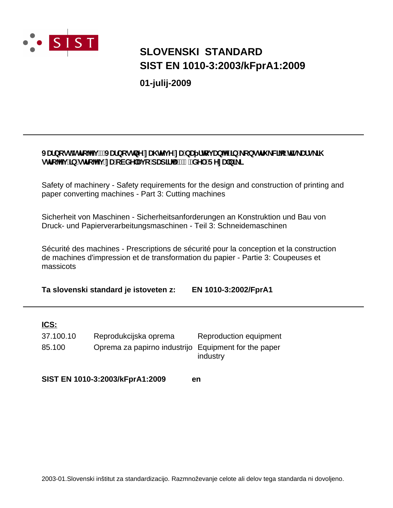

## **SIST EN 1010-3:2003/kFprA1:2009 SLOVENSKI STANDARD**

**01-julij-2009**

### JUfbcghghc <sup>N</sup>j ! JUfbcghbYnU hYj YnUbU fhcj Ub Y']b'\_cbghi \_Wc'h]g\_Ufg\_]\ glfc^i Tb`glfc^i nUcVXYUjc`dUd]f^U!" "XY.FYnUb

Safety of machinery - Safety requirements for the design and construction of printing and paper converting machines - Part 3: Cutting machines

Sicherheit von Maschinen - Sicherheitsanforderungen an Konstruktion und Bau von Druck- und Papierverarbeitungsmaschinen - Teil 3: Schneidemaschinen

Sécurité des machines - Prescriptions de sécurité pour la conception et la construction de machines d'impression et de transformation du papier - Partie 3: Coupeuses et massicots

**Ta slovenski standard je istoveten z: EN 1010-3:2002/FprA1**

## **ICS:**

| 37.100.10 | Reprodukcijska oprema                                | Reproduction equipment |
|-----------|------------------------------------------------------|------------------------|
| 85.100    | Oprema za papirno industrijo Equipment for the paper | industry               |

**SIST EN 1010-3:2003/kFprA1:2009 en**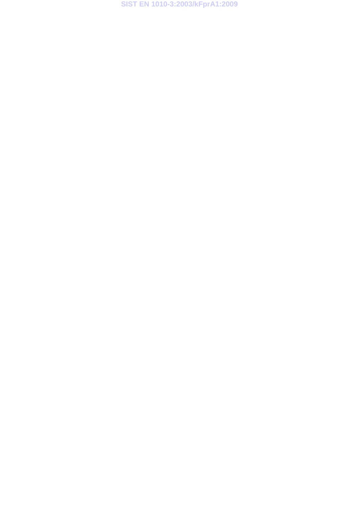**SIST EN 1010-3:2003/kFprA1:2009**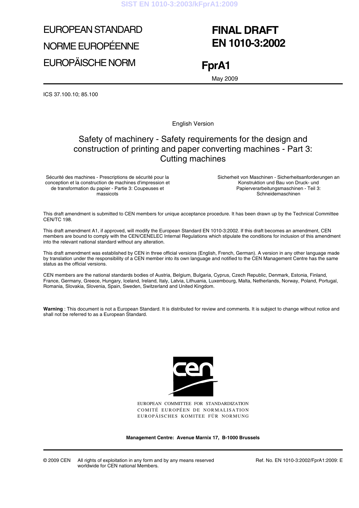#### **SIST EN 1010-3:2003/kFprA1:2009**

# EUROPEAN STANDARD NORME EUROPÉENNE EUROPÄISCHE NORM

## **FINAL DRAFT EN 1010-3:2002**

**FprA1**

May 2009

ICS 37.100.10; 85.100

English Version

## Safety of machinery - Safety requirements for the design and construction of printing and paper converting machines - Part 3: Cutting machines

Sécurité des machines - Prescriptions de sécurité pour la conception et la construction de machines d'impression et de transformation du papier - Partie 3: Coupeuses et massicots

Sicherheit von Maschinen - Sicherheitsanforderungen an Konstruktion und Bau von Druck- und Papierverarbeitungsmaschinen - Teil 3: Schneidemaschinen

This draft amendment is submitted to CEN members for unique acceptance procedure. It has been drawn up by the Technical Committee CEN/TC 198.

This draft amendment A1, if approved, will modify the European Standard EN 1010-3:2002. If this draft becomes an amendment, CEN members are bound to comply with the CEN/CENELEC Internal Regulations which stipulate the conditions for inclusion of this amendment into the relevant national standard without any alteration.

This draft amendment was established by CEN in three official versions (English, French, German). A version in any other language made by translation under the responsibility of a CEN member into its own language and notified to the CEN Management Centre has the same status as the official versions.

CEN members are the national standards bodies of Austria, Belgium, Bulgaria, Cyprus, Czech Republic, Denmark, Estonia, Finland, France, Germany, Greece, Hungary, Iceland, Ireland, Italy, Latvia, Lithuania, Luxembourg, Malta, Netherlands, Norway, Poland, Portugal, Romania, Slovakia, Slovenia, Spain, Sweden, Switzerland and United Kingdom.

**Warning** : This document is not a European Standard. It is distributed for review and comments. It is subject to change without notice and shall not be referred to as a European Standard.



EUROPEAN COMMITTEE FOR STANDARDIZATION COMITÉ EUROPÉEN DE NORMALISATION EUROPÄISCHES KOMITEE FÜR NORMUNG

**Management Centre: Avenue Marnix 17, B-1000 Brussels**

© 2009 CEN All rights of exploitation in any form and by any means reserved worldwide for CEN national Members.

Ref. No. EN 1010-3:2002/FprA1:2009: E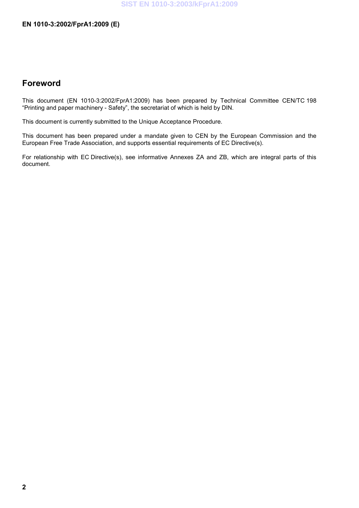#### **SIST EN 1010-3:2003/kFprA1:2009**

#### **EN 1010-3:2002/FprA1:2009 (E)**

### **Foreword**

This document (EN 1010-3:2002/FprA1:2009) has been prepared by Technical Committee CEN/TC 198 "Printing and paper machinery - Safety", the secretariat of which is held by DIN.

This document is currently submitted to the Unique Acceptance Procedure.

This document has been prepared under a mandate given to CEN by the European Commission and the European Free Trade Association, and supports essential requirements of EC Directive(s).

For relationship with EC Directive(s), see informative Annexes ZA and ZB, which are integral parts of this document.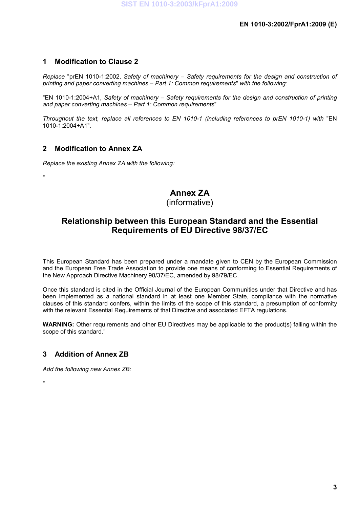#### **1 Modification to Clause 2**

*Replace* "prEN 1010-1:2002, *Safety of machinery – Safety requirements for the design and construction of printing and paper converting machines – Part 1: Common requirements*" *with the following:* 

"EN 1010-1:2004+A1*, Safety of machinery – Safety requirements for the design and construction of printing and paper converting machines – Part 1: Common requirements*"

*Throughout the text, replace all references to EN 1010-1 (including references to prEN 1010-1) with* "EN 1010-1:2004+A1".

#### **2 Modification to Annex ZA**

*Replace the existing Annex ZA with the following:* 

## **Annex ZA**

(informative)

## **Relationship between this European Standard and the Essential Requirements of EU Directive 98/37/EC**

This European Standard has been prepared under a mandate given to CEN by the European Commission and the European Free Trade Association to provide one means of conforming to Essential Requirements of the New Approach Directive Machinery 98/37/EC, amended by 98/79/EC.

Once this standard is cited in the Official Journal of the European Communities under that Directive and has been implemented as a national standard in at least one Member State, compliance with the normative clauses of this standard confers, within the limits of the scope of this standard, a presumption of conformity with the relevant Essential Requirements of that Directive and associated EFTA regulations.

**WARNING:** Other requirements and other EU Directives may be applicable to the product(s) falling within the scope of this standard."

#### **3 Addition of Annex ZB**

*Add the following new Annex ZB:* 

"

"